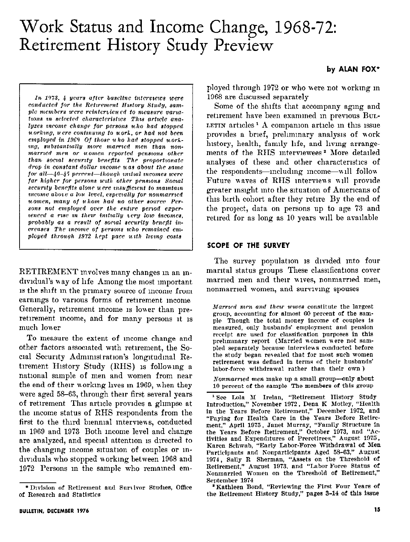# Work Status and Income Change, 1968-72: Retirement History Study Preview

In 1973, 4 years after baseline interviews were conducted for the Retirement History Study, sample members were reinterviewed to measure variations in selected characteristics This article analyzes income change for persons who had stopped uorking, uere continuing to work, or had not been employed in 1969 Of those u ho had stopped working, substantially more married men than nonmarried men or uomen reported pensions other than social security benefits The proportionate drop in constant dollar income was about the same for all-40-45 percent-though initial incomes were far higher for persons with other pensions Social security benefits alone were insufficient to maintain income above a low level, especially for nonmarried uomen, many of uhom had no other source Persons not employed over the entire period experienced a rise in their initially very low incomes. probably as a result of social security benefit increases The income of persons who remained employed through 1972 kept pace with living costs

RETIREMENT mvolves many changes in an individual's way of life Among the most important is the shift in the primary source of income from earnings to various forms of retirement income Generally, retrrement income is lower than preretirement income, and for many persons it is much lower

To measure the extent of moome change and other factors associated with retirement, the Social Security Administration's longitudinal Retirement History Study (RHS) is following a national sample of men and women from near the end of their working lives in 1969, when they were aged 58-63, through their first several vears of retirement This article provides a glimpse at the income status of RHS respondents from the first to the third bienmal interviews, conducted in 1969 and 1973 Both income level and change are analyzed, and special attention is directed to the changing income situation of couples or individuals who stopped working between 1968 and 1972 Persons in the sample who remained employed through 1972 or who were not working in 1968 are discussed separately

Some of the shifts that accompany aging and retirement have been examined in previous But-LETIN articles<sup>1</sup> A companion article in this issue provides a brief, preliminary analysis of work history, health, family life, and living arrangements of the RHS interviewees<sup>2</sup> More detailed analyses of these and other characteristics of the respondents—including income—will follow Future waves of RHS interviews will provide greater insight into the situation of Americans of this birth cohort after they retire By the end of the project, data on persons up to age 73 and retired for as long as 10 years will be available

#### **SCOPE OF THE SURVEY**

The survey population is divided into four marital status groups These classifications cover married men and their wives, nonmarried men, nonmarried women, and surviving spouses

Married men and their wives constitute the largest group, accounting for almost 60 percent of the sample Though the total money income of couples is measured, only husbands' employment and pension receipt are used for classification purposes in this preliminary report (Married women were not sampled separately because interviews conducted before the study began revealed that for most such women retirement was defined in terms of their husbands' labor-force withdrawal rather than their own)

Nonmarried men make up a small group-only about 10 percent of the sample The members of this group

<sup>2</sup> Kathleen Bond, "Reviewing the First Four Years of the Retirement History Study." pages 3-14 of this issue

<sup>\*</sup> Division of Retirement and Survivor Studies, Office of Research and Statistics

<sup>&</sup>lt;sup>1</sup> See Lola M Irelan, "Retirement History Study Introduction," November 1972, Dena K Motley, "Health in the Years Before Retirement," December 1972, and "Paying for Health Care in the Years Before Retirement," April 1975, Janet Murray, "Family Structure in the Years Before Retirement," October 1973, and "Activities and Expenditures of Preretirees," August 1975, Karen Schwab, "Early Labor-Force Withdrawal of Men Participants and Nonparticipants Aged 58-63," August 1974, Sally R. Sherman, "Assets on the Threshold of Retirement," August 1973, and "Labor Force Status of Nonmarried Women on the Threshold of Retirement," September 1974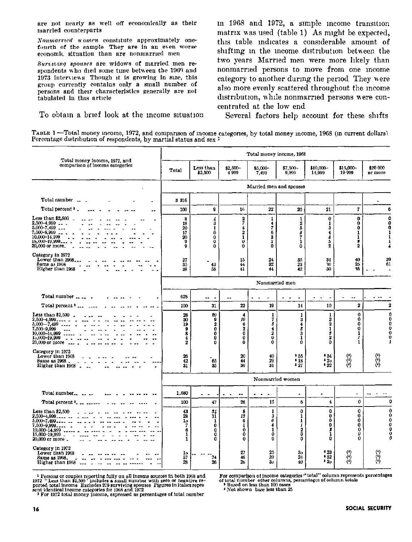are not nearly as well off economically as their married counterparts

Nonmarried uomen constitute approximately onefourth of the sample They are in an even worse economic situation than are nonmarried men

Survuing spouses are widows of married men respondents who died some time between the 1969 and 1973 interviews Though it is growing in size, this group currently contains only a small number of persons and their characteristics generally are not tabulated in this article

To obtain a brief look at the income situation

in 1968 and 1972, a simple income transition matrix was used (table 1) As might be expected, this table indicates a considerable amount of shifting in the income distribution between the two years Married men were more likely than nonmarried persons to move from one income category to another during the period They were also more evenly scattered throughout the income distribution, while nonmarried persons were concentrated at the low end

Several factors help account for these shifts

| TABLE 1 -- Total money income, 1972, and comparison of income categories, by total money income, 1968 (in current dollars) |  |  |  |
|----------------------------------------------------------------------------------------------------------------------------|--|--|--|
| Percentage distribution of respondents, by martial status and sex <sup>1</sup>                                             |  |  |  |

| Total money income, 1972, and                                                                                                                         |                                                                         |                                                                    |                                                    | Total money income, 1968                      |                                         |                                                                                       |                                        |                                             |
|-------------------------------------------------------------------------------------------------------------------------------------------------------|-------------------------------------------------------------------------|--------------------------------------------------------------------|----------------------------------------------------|-----------------------------------------------|-----------------------------------------|---------------------------------------------------------------------------------------|----------------------------------------|---------------------------------------------|
| comparison of income categories                                                                                                                       | Total                                                                   | Less than<br>\$2,500                                               | \$2,500-<br>4'999                                  | \$5,000<br>7,499                              | \$7,500-<br>9,999                       | \$10,000-<br>14.999                                                                   | \$15,000<br>19 999                     | \$20 000<br>or more                         |
| $\mathbf{r}$                                                                                                                                          |                                                                         |                                                                    |                                                    | Married men and spouses                       |                                         |                                                                                       |                                        |                                             |
| Total number                                                                                                                                          | 3 316                                                                   |                                                                    |                                                    |                                               |                                         |                                                                                       |                                        |                                             |
| Total percent ' .                                                                                                                                     | 100                                                                     | 9                                                                  | 16                                                 | 22                                            | 20                                      | 21                                                                                    | 7                                      | 6                                           |
| Less than $$2,500$<br>$2,500 - 4,999$ $\ldots$<br>$5,000 - 7,499$<br>7,500-9,999<br>10,000-14,999<br>$15,000 - 19,999$<br>20,000 or more.             | 8<br>18<br>20<br>17<br>20<br>9<br>ğ.                                    | $\frac{4}{3}$<br>$\mathbf{1}$<br>Ô<br>0<br>ō<br>0                  | 2<br>4<br>2<br>$\mathbf{1}$<br>ō<br>0              | 1<br>4<br>7<br>6<br>3<br>$\mathbf{1}$<br>ō    | 1<br>$\bar{2}$<br>5<br>б<br>7<br>ı<br>ō | Ō<br>1<br>3<br>4<br>8<br>5<br>ž                                                       | 0<br>0<br>0<br>1<br>1<br>8<br>2        | $\mathbf{0}$<br>o                           |
| Category in 1972<br>Lower than 1968.<br>Same as 1968<br>Higher than 1968                                                                              | $\frac{27}{35}$<br>38                                                   | 43<br>58                                                           | 15<br>44<br>41                                     | 24<br>32<br>44                                | 35<br>23<br>42                          | 34<br>96<br>30                                                                        | 40<br>25<br>95                         | 39<br>61                                    |
|                                                                                                                                                       |                                                                         |                                                                    |                                                    | Nonmarried men                                |                                         |                                                                                       |                                        |                                             |
| Total number                                                                                                                                          | 628                                                                     | ۰.<br>$\overline{\phantom{a}}$                                     |                                                    |                                               |                                         |                                                                                       | ٠.                                     |                                             |
| Total percent <sup>2</sup>                                                                                                                            | 100                                                                     | 31                                                                 | 22                                                 | 19                                            | 14                                      | 10                                                                                    | $\overline{2}$                         |                                             |
| Less than $$2,500$<br>$2,500-4,999$<br>$5,000 - 7,499$<br>7,500-9,999<br>$\overline{\phantom{a}}$<br>10,000-14,999<br>15,000-19,999<br>20,000 or more | 28<br>30<br>19<br>$\boldsymbol{9}$<br>8<br>4<br>$\overline{\mathbf{2}}$ | 80<br>9<br>$\mathbf 2$<br>$\bar{\mathbf{0}}$<br>0<br>$\bf{0}$<br>0 | 4<br>10<br>6<br>2<br>0<br>$\bf{0}$<br>$\mathbf 0$  | 1<br>7<br>Б<br>4<br>2<br>$\bf{0}$<br>$\bf{0}$ | 1<br>3<br>4<br>\$<br>3<br>1<br>0        | $\mathbf{1}$<br>2<br>$\mathbf 2$<br>$\mathbf{1}$<br>3<br>$\overline{\mathbf{2}}$<br>0 | $\bf{0}$<br>Ó<br>0<br>0<br>1<br>1<br>1 |                                             |
| Category in 1972<br>Lower than 1968<br>Same as 1968<br>Higher than 1968                                                                               | 26<br>42<br>31                                                          | $\mathbf{e}_6$<br>35                                               | 20<br>44<br>36                                     | 40<br>29<br>31                                | $-55$<br>$+18$<br>$-27$                 | 354<br>$\frac{1}{22}$                                                                 | وي<br>وي                               | $\begin{pmatrix} 0 \\ 0 \\ 0 \end{pmatrix}$ |
|                                                                                                                                                       |                                                                         |                                                                    |                                                    |                                               | Nonmarried women                        |                                                                                       |                                        |                                             |
| Total number                                                                                                                                          | 1,680                                                                   | $\sim$<br>$\overline{a}$                                           | $\bullet$                                          | $\bullet$<br>$\sim$<br><b>.</b>               | $\tilde{\phantom{a}}$                   | $\blacksquare$                                                                        | $\overline{\phantom{a}}$               |                                             |
| Total percent ?                                                                                                                                       | 100                                                                     | 47                                                                 | 28                                                 | 15                                            | 6                                       | 4                                                                                     | 0                                      |                                             |
| Less than \$2,500<br>$2.500 - 4.999$<br>$5,000-7,499$<br>$7,500 - 9,999$<br>10,000~14,999<br>15,000-19,999<br>20,000 or more.                         | 43<br>28<br>1 <sub>0</sub><br>7<br>6<br>1<br>1                          | 34<br>1ĺ<br>1<br>$\bf{0}$<br>0<br>0<br>0                           | 8<br>13<br>6<br>$\mathbf{I}$<br>0<br>$\bf{0}$<br>0 | 1<br>3<br>6<br>4<br>$\mathbf{1}$<br>0<br>0    | 0<br>1<br>$\frac{1}{I}$<br>2<br>0<br>٥  | 0<br>$\bf{0}$<br>0<br>$\bf{0}$<br>2<br>1<br>٥                                         | 0<br>0<br>0<br>Ō<br>$\bf{0}$<br>0<br>0 |                                             |
| Category in 1972<br>Lower than 1968<br><b>Same as 1968.</b><br>Higher than 1968                                                                       | 10<br>57<br>28                                                          | 74<br>26                                                           | 27<br>46<br>26                                     | 25<br>39<br>30                                | 3 <sub>0</sub><br>24<br>40              | $\begin{array}{l} 23 \\ 52 \end{array}$<br>120                                        | (၃)                                    | $\begin{pmatrix} 0 \\ 0 \\ 0 \end{pmatrix}$ |

 $^1$  Persons or couples reporting fully on all income sources in both 1998 and 1972 "Less than \$2,500" includes a small number with zero or negative reported total income Excludes 279 surviving spouses Figures in italics

For comparison of income categories "total" column represents percentages of total number other columns, percentages of column totals<br>
<sup>4</sup> Based on less than 100 cases

<sup>4</sup> Not shown base less than 25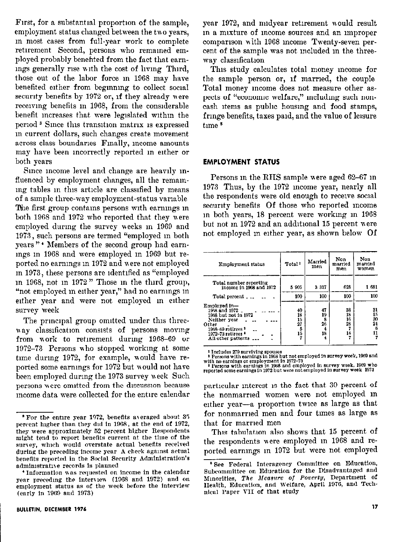First, for a substantial proportion of the sample, employment status changed between the two years, in most cases from full-year work to complete retirement Second, persons who remained employed probably benefited from the fact that earnings generally rise with the cost of living Third, those out of the labor force in 1968 may have benefited either from beginning to collect social security benefits by 1972 or, if they already were receiving benefits in 1968, from the considerable benefit increases that were legislated within the period<sup>3</sup> Since this transition matrix is expressed in current dollars, such changes create movement across class boundaries Finally, income amounts may have been incorrectly reported in either or both years

Since income level and change are heavily influenced by employment changes, all the remaining tables in this article are classified by means of a simple three-way employment-status variable The first group contains persons with earnings in both 1968 and 1972 who reported that they were employed during the survey weeks in 1969 and 1973, such persons are termed "employed in both years"<sup>\*</sup> Members of the second group had earnings in 1968 and were employed in 1969 but reported no earnings in 1972 and were not employed in 1973, these persons are identified as "employed in 1968, not in 1972" Those in the third group, "not employed in either year," had no earnings in either year and were not employed in either survey week

The principal group omitted under this threeway classification consists of persons moving from work to retirement during 1968-69 or 1972-73 Persons who stopped working at some time during 1972, for example, would have reported some earnings for 1972 but would not have been employed during the 1973 survey week Such persons were omitted from the discussion because income data were collected for the entire calendar year 1972, and midyear retirement would result in a mixture of income sources and an improper comparison with 1968 income Twenty-seven percent of the sample was not included in the threeway classification

This study calculates total money income for the sample person or, if married, the couple Total money income does not measure other aspects of "economic welfare," including such noncash items as public housing and food stamps, fringe benefits, taxes paid, and the value of leisure  $time<sup>5</sup>$ 

# **EMPLOYMENT STATUS**

Persons in the RHS sample were aged 62-67 in 1973 Thus, by the 1972 income year, nearly all the respondents were old enough to receive social security benefits Of those who reported income in both vears, 18 percent were working in 1968 but not in 1972 and an additional 15 percent were not employed in either year, as shown below Of

| Employment status                                                                                                                                            | Total <sup>1</sup>              | Married<br>men                      | Non<br>married<br>men      | Non<br>married<br>women         |
|--------------------------------------------------------------------------------------------------------------------------------------------------------------|---------------------------------|-------------------------------------|----------------------------|---------------------------------|
| Total number reporting<br>income in 1968 and 1972                                                                                                            | 5905                            | 3 3 1 7                             | 628                        | 1 681                           |
| Total percent                                                                                                                                                | 100                             | 100                                 | 100                        | 100                             |
| Employed in-<br>1968 and 1972.<br>1968 but not in 1972<br>Neither year<br>Other<br>1968-69 retirees <sup>2</sup><br>1972-73 retirees -<br>All other patterns | 40<br>18<br>15<br>27<br>5<br>15 | 47<br>19<br>8<br>26<br>4<br>18<br>4 | 38<br>18<br>16<br>28<br>14 | 31<br>15<br>30<br>24<br>6<br>11 |

<sup>1</sup> Includes 279 surviving spouses

<sup>2</sup> Persons with earnings in 1968 but not employed in survey week, 1969 and

with no earnings or employment in 1972-73<br>Persons with earnings in 1968 and employed in survey week, 1969 who reported some earnings in 1972 but were not employed in survey week 1973

particular interest is the fact that 30 percent of the nonmarried women were not employed in either year-a proportion twice as large as that for nonmarried men and four times as large as that for married men

This tabulation also shows that 15 percent of the respondents were employed in 1968 and reported earnings in 1972 but were not employed

<sup>\*</sup>For the entire year 1972, benefits averaged about 35 percent higher than they did in 1968, at the end of 1972, they were approximately 52 percent higher Respondents might tend to report benefits current at the time of the survey, which would overstate actual benefits received during the preceding income year A check against actual benefits reported in the Social Security Administration's administrative records is planned

<sup>\*</sup>Information was requested on income in the calendar vear preceding the interview (1968 and 1972) and on employment status as of the week before the interview (early in 1969 and 1973)

<sup>&</sup>lt;sup>5</sup> See Federal Interagency Committee on Education, Subcommittee on Education for the Disadvantaged and Minorities, The Measure of Poverty, Department of Health, Education, and Welfare, April 1976, and Technical Paper VII of that study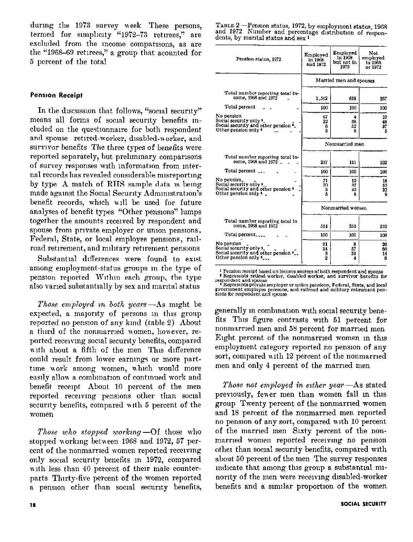during the 1973 survey week These persons, termed for simplicity "1972-73 retirees," are excluded from the mcome comparisons, as are the "1968-69 retiress," a group that acounted for 5 percent of the total

# **Pension Receipt**

In the discussion that follows, "social security" means all forms of social security benefits included on the question aire for both respondent and spouse retired-worker, disabled-worker, and survivor benefits The three types of benefits were reported separately, but preliminary comparisons of survey responses with information from internal records has revealed considerable misreporting by type A match of RHS sample data is being made against the Social Security Administration's benefit records, which will be used for future analyses of benefit types "Other pensions" lumps together the amounts received by respondent and spouse from private employer or union pensions. Federal, State, or local employee pensions, railroad retirement, and military retirement pensions

Substantial differences were found to exist among employment-status groups in the type of pension reported Within each group, the type also varied substantially by sex and marital status

Those employed in both years —As might be expected, a majority of persons in this group reported no pension of any kind (table 2) About a third of the nonmarried women, however, reported receiving social security benefits, compared with about a fifth of the men This difference could result from lower earnings or more parttime work among women, which would more easily allow a combination of continued work and benefit receipt About 10 percent of the men reported receiving pensions other than social security benefits, compared with 5 percent of the women

Those who stopped working -- Of those who stopped working between 1968 and 1972, 57 percent of the nonmarried women reported receiving only social security benefits in 1972, compared with less than 40 percent of their male counterparts Thirty-five percent of the women reported a pension other than social security benefits, TABLE 2 —Pension status, 1972, by employment status, 1968 and 1972 Number and percentage distribution of respondents, by marital status and  $sex<sup>1</sup>$ 

| Pension status, 1972                                                                                                                     | Employed<br>in 1968<br>and 1972 | Employed<br>in 1968<br>but not in<br>1972 | Not.<br>employed<br>in 1968<br>or 1972 |
|------------------------------------------------------------------------------------------------------------------------------------------|---------------------------------|-------------------------------------------|----------------------------------------|
|                                                                                                                                          |                                 | Married men and spouses                   |                                        |
| Total number reporting total in-<br>come, 1968 and 1972                                                                                  | 1.562                           | 618                                       | 257                                    |
| Total percent                                                                                                                            | 100                             | 100                                       | 100                                    |
| No pension<br>Social security only 1<br>Social security and other pension $\cdot$ .<br>Other pension only *                              | 67<br>22<br>ß<br>5              | 4<br>38<br>52<br>в                        | 10<br>48<br>37<br>Б                    |
|                                                                                                                                          |                                 | Nonmarried men                            |                                        |
| Total number reporting total in-<br>come, 1968 and 1972 _                                                                                | 237                             | 115                                       | 102                                    |
| Total percent ___                                                                                                                        | 100                             | 100                                       | 100                                    |
| No pension.<br>Social security only 2<br>Social security and other pension <sup>3</sup><br>Other pension only $\overline{\phantom{a}}$ . | 71<br>20<br>3<br>5              | 12<br>37<br>43<br>я                       | 18<br>52<br>22<br>9                    |
|                                                                                                                                          |                                 | Nonmarried women                          |                                        |
| Total number reporting total in<br>come, 1968 and 1972                                                                                   | 514                             | 253                                       | 510                                    |
| Total percent                                                                                                                            | 100                             | 100                                       | 100                                    |
| No pension<br>Social security only 1<br>Social security and other pension <sup>3</sup> .<br>Other pension only "                         | 61<br>34<br>з<br>$\overline{2}$ | 8<br>57<br>31<br>4                        | 20<br>60<br>14<br>6                    |

<sup>1</sup> Pension receipt based on income sources of both respondent and spouse<br> **<sup>1</sup>** Represents retired worker, disabled worker, and survivor benefits for<br>
respondent and spouse<br>  $\frac{1}{2}$  Represents private employer or union

generally in combination with social security benefits This figure contrasts with 51 percent for nonmarried men and 58 percent for married men Eight percent of the nonmarried women in this employment category reported no pension of any sort, compared with 12 percent of the nonmarried men and only 4 percent of the married men

Those not employed in either year —As stated previously, fewer men than women fall in this group Twenty percent of the nonmarried women and 18 percent of the nonmarried men reported no pension of any sort, compared with 10 percent of the married men Sixty percent of the nonmarried women reported receiving no pension other than social security benefits, compared with about 50 percent of the men The survey responses indicate that among this group a substantial minority of the men were receiving disabled-worker benefits and a similar proportion of the women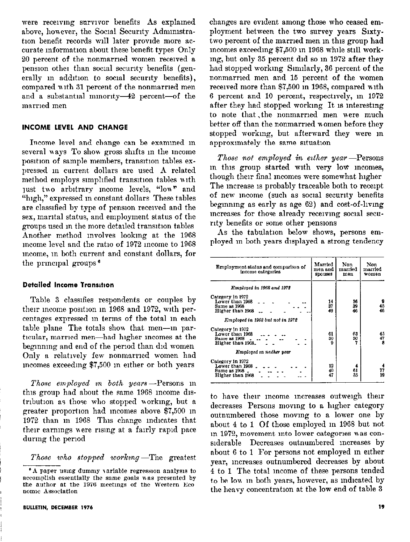were receiving survivor benefits As explained above, however, the Social Security Administration benefit records will later provide more accurate information about these benefit types Only 20 percent of the nonmarried women received a pension other than social security benefits (generally in addition to social security benefits). compared with 31 percent of the nonmarried men and a substantial minority-42 percent-of the married men

# **INCOME LEVEL AND CHANGE**

Income level and change can be examined in several ways To show gross shifts in the income position of sample members, transition tables expressed in current dollars are used A related method employs simplified transition tables with just two arbitrary income levels, "low" and "high," expressed in constant dollars These tables are classified by type of pension received and the sex, marital status, and employment status of the groups used in the more detailed transition tables Another method involves looking at the 1968 income level and the ratio of 1972 income to 1968 meome, in both current and constant dollars, for the principal groups<sup>6</sup>

# **Detailed Income Transition**

Table 3 classifies respondents or couples by their income position in 1968 and 1972, with percentages expressed in terms of the total in each table plane The totals show that men--in particular, married men-had higher incomes at the beginning and end of the period than did women Only a relatively few nonmarried women had incomes exceeding \$7,500 in either or both years

Those employed in both years -- Persons in this group had about the same 1968 income distribution as those who stopped working, but a greater proportion had incomes above \$7,500 in 1972 than in 1968 This change indicates that their earnings were rising at a fairly rapid pace during the period

Those who stopped working –The greatest

changes are evident among those who ceased employment between the two survey years Sixtytwo percent of the married men in this group had mcomes exceeding \$7,500 in 1968 while still working, but only 35 percent did so in 1972 after they had stopped working Similarly, 36 percent of the nonmarried men and 15 percent of the women received more than \$7,500 in 1968, compared with 6 percent and 10 percent, respectively, in 1972 after they had stopped working It is interesting to note that the nonmarried men were much better off than the nonmarried women before they stopped working, but afterward they were in approximately the same situation

Those not employed in either year-Persons in this group started with very low incomes, though their final incomes were somewhat higher The increase is probably traceable both to receipt of new income (such as social security benefits beginning as early as age 62) and cost-of-living increases for those already receiving social security benefits or some other pensions

As the tabulation below shows, persons employed in both years displayed a strong tendency

| Employment status and comparison of<br>income categories                  | Married<br>men and<br><b>SDOUSeS</b> | Non<br>married<br>men | Non<br>married<br>women |
|---------------------------------------------------------------------------|--------------------------------------|-----------------------|-------------------------|
| Employed in 1968 and 1972                                                 |                                      |                       |                         |
| Category in 1972<br>Lower than 1968<br>Same as 1968<br>Higher than 1968   | 14<br>37<br>49                       | 16<br>39<br>46        | 9<br>45<br>46           |
| Employed in 1968 but not in 1972                                          |                                      |                       |                         |
| Category in 1972<br>Lower than 1968<br>Same as 1968<br>Higher than 1968.  | 61<br>30<br>Ω                        | 63<br>30              | 45<br>47<br>s           |
| Employed in neither year                                                  |                                      |                       |                         |
| Category in 1972<br>Lower than 1968<br>Same as 1968 _<br>Higher than 1968 | 12<br>40<br>47                       | 4<br>61<br>35         | 77<br>19                |

to have their income increases outweigh their decreases Persons moving to a higher category outnumbered those moving to a lower one by about 4 to 1 Of those employed in 1968 but not in 1972, movement into lower categories was considerable Decreases outnumbered increases by about 6 to 1 For persons not employed in either year, increases outnumbered decreases by about 4 to 1 The total income of these persons tended to be low in both years, however, as indicated by the heavy concentration at the low end of table 3

<sup>&#</sup>x27;A paper using dummy variable regression analysis to accomplish essentially the same goals was presented by the author at the 1976 meetings of the Western Eco nomic Association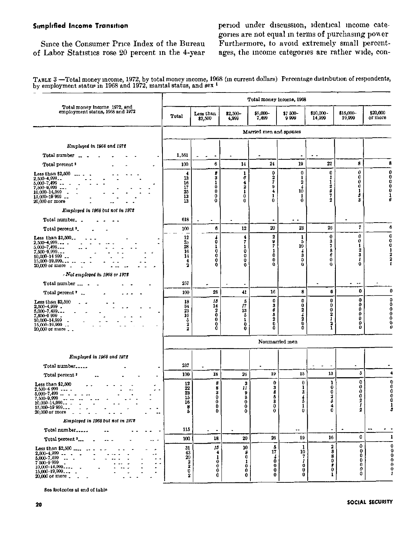# **Simplified Income Transition**

period under discussion, identical income categories are not equal in terms of purchasing power Furthermore, to avoid extremely small percentages, the income categories are rather wide, con-

Since the Consumer Price Index of the Bureau of Labor Statistics rose 20 percent in the 4-year

TABLE 3 -Total money income, 1972, by total money income, 1968 (in current dollars) Percentage distribution of respondents, by employment status in 1968 and 1972, marital status, and sex <sup>1</sup>

|                                                                                                                                                                                     | Total money income, 1968                              |                                                                                                    |                                                   |                                                       |                                                          |                                                                                    |                                                               |                                          |
|-------------------------------------------------------------------------------------------------------------------------------------------------------------------------------------|-------------------------------------------------------|----------------------------------------------------------------------------------------------------|---------------------------------------------------|-------------------------------------------------------|----------------------------------------------------------|------------------------------------------------------------------------------------|---------------------------------------------------------------|------------------------------------------|
| Total money income 1972, and<br>employment status, 1968 and 1972                                                                                                                    | Total                                                 | Less than<br>\$2,500                                                                               | $$2,500-$<br>4,999                                | $$5,000-$<br>7,499                                    | \$7 500-<br>9999                                         | $$10,000 -$<br>14,999                                                              | \$15,000-<br>19,999                                           | \$20,000<br>or more                      |
|                                                                                                                                                                                     |                                                       |                                                                                                    |                                                   | Married men and spouses                               |                                                          |                                                                                    |                                                               |                                          |
| Employed in 1968 and 1972                                                                                                                                                           |                                                       |                                                                                                    |                                                   |                                                       |                                                          |                                                                                    |                                                               |                                          |
| Total number                                                                                                                                                                        | 1.561                                                 |                                                                                                    |                                                   |                                                       |                                                          |                                                                                    |                                                               |                                          |
| Total percent <sup>1</sup>                                                                                                                                                          | 100                                                   | $\bf{6}$                                                                                           | 14                                                | 24                                                    | 19                                                       | 22                                                                                 | 8                                                             | 8                                        |
| Less than \$2,500<br>$2,500 - 4,999$<br>$5,000 - 7,499$<br>7,500-9,999<br>$- - -$<br>10,000-14,999<br>$\overline{\phantom{a}}$<br>15,000-19 999<br>$\ddotsc$<br>20,000 or more      | 4<br>13<br>16<br>17<br>25<br>13<br>13                 | 8<br>3<br>1<br>$\ddot{\text{o}}$<br>0<br>0<br>0                                                    | 1<br>6<br>4<br>$\ddot{2}$<br>1<br>ō<br>0          | $\mathbf 0$<br>2<br>7<br>a,<br>4<br>$\mathbf{1}$<br>0 | 0<br>1<br>2<br>Å<br>10<br>1<br>0                         | 0<br>1<br>1<br>2<br>я<br>7<br>2                                                    | 0<br>0<br>Ω<br>0<br>1<br>5<br>2                               | $\bf{0}$<br>Ō<br>0<br>0<br>$\bf{0}$<br>ı |
| Employed in 1968 but not in 1972                                                                                                                                                    |                                                       |                                                                                                    |                                                   |                                                       |                                                          |                                                                                    |                                                               |                                          |
| Total number                                                                                                                                                                        | 618                                                   |                                                                                                    |                                                   |                                                       | $\bullet$                                                |                                                                                    | $\ddot{\phantom{1}}$                                          |                                          |
| Total percent "_                                                                                                                                                                    | 100                                                   | 6                                                                                                  | $\bf{12}$                                         | 20                                                    | 23                                                       | 26                                                                                 | $\overline{\mathbf{r}}$                                       | 6                                        |
| Less than \$2,500<br>$2,500-4,999$<br>5,000-7,499<br>7,500-9,999<br>$10,000 - 14999$<br>$15,000 - 19,999$<br>20,000 or more _                                                       | 12<br>$\frac{25}{28}$<br>16<br>14<br>4<br>$\mathbf 2$ | á<br>1<br>0<br>Ò<br>0<br>$\theta$                                                                  | 4<br>7<br>ı<br>0<br>0<br>0<br>0                   | $\boldsymbol{2}$<br>9<br>7<br>1<br>0<br>0<br>o        | 1<br>5<br>10<br>$\frac{4}{3}$<br>0<br>0                  | 0<br>3<br>7<br>8<br>6<br>0<br>0                                                    | 0<br>0<br>1<br>$\overline{\mathbf{2}}$<br>3<br>1<br>0         | $\mathbf 0$<br>0<br>0                    |
| Not employed in 1968 or 1972                                                                                                                                                        |                                                       |                                                                                                    |                                                   |                                                       |                                                          |                                                                                    |                                                               |                                          |
| Total number  .                                                                                                                                                                     | 257                                                   |                                                                                                    |                                                   |                                                       |                                                          |                                                                                    | $\ddot{\phantom{0}}$                                          |                                          |
| Total percent "                                                                                                                                                                     | 100                                                   | 28                                                                                                 | 41                                                | 16                                                    | 8                                                        | 6                                                                                  | 0                                                             | 0                                        |
| Less than $$2,500$<br>$2,500-4,999$<br>5,000-7,499<br>7,500-9'999<br>10.000-14,999<br>15,000-19,999<br>20,000 or more _ _                                                           | 18<br>34<br>23<br>16<br>$\frac{5}{2}$<br>2            | 15<br>14<br>$\begin{matrix} 2 \\ 0 \end{matrix}$<br>0<br>$\begin{smallmatrix}0\0\end{smallmatrix}$ | 5<br>17<br>13<br>5<br>1<br>0<br>0                 | 0<br>3<br>8<br>ô<br>2<br>ō<br>0                       | 0<br>0<br>2<br>$\frac{1}{2}$<br>Û<br>0                   | 0<br>0<br>0<br>$\boldsymbol{2}$<br>1<br>$\frac{2}{1}$                              | $\bf{0}$<br>0<br>$\bf{0}$<br>0<br>0<br>o<br>ö                 | 0<br>o<br>0<br>0                         |
|                                                                                                                                                                                     |                                                       |                                                                                                    |                                                   | Nonmarried men                                        |                                                          |                                                                                    |                                                               |                                          |
| Employed in 1968 and 1972                                                                                                                                                           |                                                       |                                                                                                    |                                                   |                                                       |                                                          |                                                                                    |                                                               |                                          |
| Total number                                                                                                                                                                        | 237                                                   |                                                                                                    |                                                   |                                                       |                                                          |                                                                                    |                                                               |                                          |
| Total percent ?                                                                                                                                                                     | 100                                                   | 18                                                                                                 | 26                                                | 19                                                    | 15                                                       | 13                                                                                 | 5                                                             |                                          |
| Less than \$2,500<br>$2,500 - 4999$<br>$5,000 - 7,499$<br>$\overline{\phantom{a}}$<br>7,500-9,999<br>$\ddotsc$<br>$10,000 - 14,999$ .<br>15,000-19 999.<br>20,000 or more           | 12<br>22<br>$\frac{23}{15}$<br>16<br>8<br>5           | 8<br>8<br>3<br>0<br>0<br>0<br>0                                                                    | 3<br>11<br>9<br>3<br>$\bf{0}$<br>$\mathbf 0$<br>o | $\bf{0}$<br>з<br>8<br>5<br>3<br>0<br>0                | 0<br>ı<br>$\ddot{\mathbf{3}}$<br>$\frac{4}{5}$<br>1<br>ō | 1<br>ō<br>0<br>$\boldsymbol{2}$<br>б<br>4<br>ō                                     | $\ddot{\text{o}}$<br>$\bf{0}$<br>0<br>0<br>$\frac{2}{I}$<br>2 | O<br>0<br>0<br>0<br>n                    |
| Employed in 1968 but not in 1978                                                                                                                                                    |                                                       |                                                                                                    |                                                   |                                                       |                                                          |                                                                                    |                                                               |                                          |
| Total number                                                                                                                                                                        | 115                                                   | $\overline{\phantom{a}}$                                                                           |                                                   |                                                       |                                                          |                                                                                    |                                                               |                                          |
| Total percent '<br>$\ddot{\phantom{0}}$                                                                                                                                             | 100                                                   | 18                                                                                                 | 20                                                | 26                                                    | 19                                                       | 16                                                                                 | 0                                                             | $\mathbf{1}$                             |
| Less than $$2,500$ .<br>$2,500 - 4,999$ $-$<br>5,000 - 7,499<br>7 500-9 999<br>$\ddot{\phantom{0}}$<br>10,000-14,999<br>15.000-19,999<br>20,000 or more<br>$\overline{\phantom{a}}$ | 31<br>43<br>20<br>$\frac{2}{2}$<br>0<br>2             | 15<br>4<br>1<br>$\bf{0}$<br>0<br>0<br>0                                                            | 10<br>θ<br>0<br>1<br>0<br>0<br>0                  | 5<br>17<br>$\frac{4}{0}$<br>$\bf{0}$<br>0<br>0        | 1<br>10<br>7<br>1<br>0<br>0<br>Ô                         | $\boldsymbol{2}$<br>$\bf{3}$<br>8<br>ō<br>£<br>$\ddot{\mathbf{0}}$<br>$\mathbf{1}$ | 0<br>$\bf{0}$<br>0<br>0<br>0<br>0<br>0                        | O                                        |

See footnotes at end of table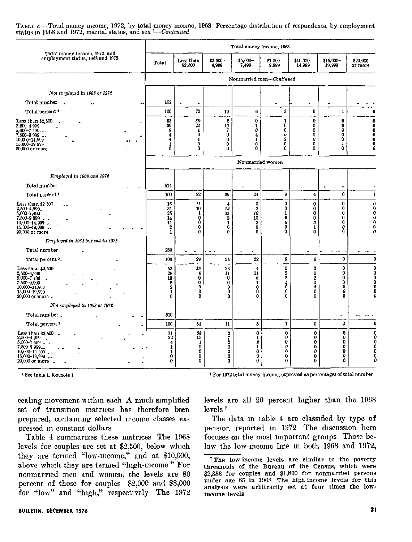TABLE 3 -Total money income, 1972, by total money income, 1968 Percentage distribution of respondents, by employment status in 1968 and 1972, marital status, and sex  $\overline{L}$ Continued

|                                                                                                                                                 |                                                                   |                                              |                                                               | Total money income, 1968                                   |                                                  |                                                             |                                               |                            |
|-------------------------------------------------------------------------------------------------------------------------------------------------|-------------------------------------------------------------------|----------------------------------------------|---------------------------------------------------------------|------------------------------------------------------------|--------------------------------------------------|-------------------------------------------------------------|-----------------------------------------------|----------------------------|
| Total money income, 1972, and<br>employment status, 1968 and 1972                                                                               | Total                                                             | Less than<br>\$2,500                         | $$2,500-$<br>4,999                                            | $$5,000-$<br>7,499                                         | \$7500-<br>9,999                                 | \$10.000-<br>14,999                                         | \$15,000-<br>19,999                           | \$20,000<br>or more        |
|                                                                                                                                                 |                                                                   |                                              |                                                               | Nonmarried men-Continued                                   |                                                  |                                                             |                                               |                            |
| Not employed in 1968 or 1972                                                                                                                    |                                                                   |                                              |                                                               |                                                            |                                                  |                                                             |                                               |                            |
| Total number                                                                                                                                    | 102                                                               |                                              |                                                               |                                                            |                                                  |                                                             |                                               |                            |
| Total percent <sup>1</sup>                                                                                                                      | 100                                                               | 72                                           | 19                                                            | 6                                                          | 3                                                | 0                                                           | $\mathbf{1}$                                  | 0                          |
| Less than \$2,500<br>2,500-4 999<br>$5,000 - 7,499$<br>$7,500 - 999$ $-$<br>10,000-14,999<br>15,000-19 999<br><b>20,000 or more</b>             | 53<br>30<br>8<br>4<br>4<br>1<br>0                                 | 50<br>20<br>1<br>0<br>1<br>Ō<br>0            | $\overline{2}$<br>10<br>$\bf{0}$<br>$\bf{0}$<br>$\bf{0}$<br>0 | $\mathbf 0$<br>1<br>0<br>4<br>1<br>$\bar{\mathbf{0}}$<br>0 | $\frac{1}{0}$<br>Ō<br>0<br>$\mathbf 2$<br>ō<br>0 | $\bf{0}$<br>0<br>0<br>0<br>0<br>Ō<br>0                      | 0<br>0<br>0<br>0<br>0<br>1<br>$\mathbf 0$     | 0<br>O<br>0<br>o<br>o<br>0 |
|                                                                                                                                                 |                                                                   |                                              |                                                               | Nonmarried women                                           |                                                  |                                                             |                                               |                            |
| Employed in 1968 and 1972                                                                                                                       |                                                                   |                                              |                                                               |                                                            |                                                  |                                                             |                                               |                            |
| Total number                                                                                                                                    | 514                                                               |                                              |                                                               |                                                            |                                                  |                                                             | $\tilde{\phantom{a}}$                         |                            |
| Total percent <sup>2</sup>                                                                                                                      | 100                                                               | 22                                           | 39                                                            | 24                                                         | 9                                                | 4                                                           | 0                                             | 1                          |
| Less than \$2 500<br>2,500-4,999.<br>5,000-7,499<br>7,500-9 999<br>$\sim$<br>10,000-14,999<br>$15,000 - 19,999$ .<br>20,000 or more             | 16<br>31<br>25<br>14<br>11<br>$\boldsymbol{2}$<br>1               | $\mathbf{11}$<br>10<br>1<br>0<br>0<br>0<br>0 | 4<br>19<br>13<br>$\boldsymbol{2}$<br>1<br>$\bf{0}$<br>0       | 0<br>2<br>10<br>10<br>2<br>0<br>0                          | 0<br>0<br>1<br>2<br>5<br>0<br>0                  | 0<br>0<br>Ò<br>Ō<br>8<br>1<br>0                             | 0<br>0<br>0<br>Ō<br>Ō<br>0<br>0               | 0<br>0<br>Л                |
| Employed in 1968 but not in 1972                                                                                                                |                                                                   |                                              |                                                               |                                                            |                                                  |                                                             |                                               |                            |
| Total number                                                                                                                                    | 253                                                               |                                              |                                                               |                                                            |                                                  |                                                             |                                               |                            |
| Total percent <sup>2</sup> .                                                                                                                    | 100                                                               | 29                                           | 34                                                            | 22                                                         | 9                                                | 6                                                           | $\bf{0}$                                      |                            |
| Less than \$2,500<br>2,500-4,999<br>5.000-7 499<br>$\overline{\phantom{a}}$<br>7 500-9,999<br>10,000-14,999<br>15,000-19,999<br>20,000 or more. | 52<br>$\begin{array}{c} 28 \\ 10 \end{array}$<br>6<br>2<br>1<br>0 | 25<br>4<br>O<br>0<br>0<br>0<br>o             | 23<br>11<br>0<br>0<br>0<br>0<br>0                             | 4<br>$\overline{\mathbf{u}}$<br>θ<br>1<br>0<br>0<br>Ω      | 0<br>$\frac{2}{2}$<br>\$<br>0<br>۵               | 0<br>1<br>2<br>$\bf{0}$<br>2<br>0<br>0                      | $\bf{0}$<br>$\bf{0}$<br>0<br>0<br>0<br>0<br>0 |                            |
| Not employed in 1968 or 1972                                                                                                                    |                                                                   |                                              |                                                               |                                                            |                                                  |                                                             |                                               |                            |
| Total number.                                                                                                                                   | 510                                                               |                                              |                                                               |                                                            |                                                  |                                                             |                                               |                            |
| Total percent <sup>3</sup>                                                                                                                      | 100                                                               | 84                                           | 11                                                            | 3                                                          | 1                                                | $\mathbf 0$                                                 | $\mathbf 0$                                   |                            |
| Less than \$2,500<br>$2,500-4,999$<br>5,000-7,499<br>7,500-9 999.<br>$10,000 - 14999$<br>15,000-19,999<br>٠<br>$20,000$ or more $\sim$<br>÷     | 71<br>22<br>4<br>1<br>1<br>0<br>0                                 | 68<br>15<br>1<br>0<br>0<br>0<br>Ò            | 27200<br>0<br>$\bar{0}$                                       | 0<br>1<br>ø<br>1<br>0<br>0<br>0                            | 0<br>0<br>0<br>0<br>0<br>0<br>0                  | 0<br>$\bf{0}$<br>$\bf{0}$<br>$\bf{0}$<br>0<br>$\bf{0}$<br>0 | 0<br>0<br>0<br>0<br>٥<br>0<br>o               |                            |

<sup>1</sup> See table 1, footnote 1

<sup>1</sup> For 1972 total money income, expressed as percentages of total number

levels are all 20 percent higher than the 1968

The data in table 4 are classified by type of

cealing movement within each A much simplified set of transition matrices has therefore been prepared, containing selected income classes expressed m constant dollars

Table 4 summarizes these matrices The 1968 levels for couples are set at \$2,500, below which they are termed "low-mcome," and at \$10,000, above which they are termed "high-income" For nonmarried men and women, the levels are 80 percent of those for couples-\$2,000 and \$S,ooO for "low" and "high," respectively The 1972

pension reported in 1972 The discussion here focuses on the most nnportant groups Those below the low-mcome line in both 1968 and 1972,

levels<sup>7</sup>

<sup>&</sup>lt;sup>7</sup>The low-income levels are similar to the poverty thresholds of the Bureau of the Census, which were \$2,333 for couples and \$1,800 for nonmarried persons under age 65 in 1968 The high income levels for this analysis were arbitrarily set at four times the lowincome levels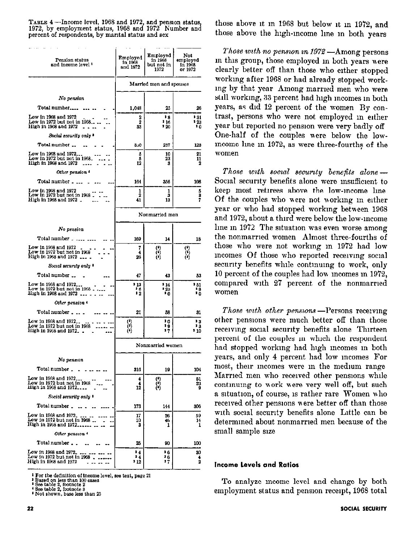TABLE 4 --Income level, 1968 and 1972, and pension status, those above it m 1968 but below it in 1972, and 1972 is and 1972 Number and those above it m 1968 but below it in 1972, and percent of respondents, by marital status and sex those above the high-income line in both years

| Pension status<br>and income level <sup>1</sup>                                | Employed<br>in 1968<br>and 1972             | Employed<br>in 1968<br>but not in<br>1972 | Not<br>employed<br>in 1968<br>or 1972            |  |  |
|--------------------------------------------------------------------------------|---------------------------------------------|-------------------------------------------|--------------------------------------------------|--|--|
|                                                                                |                                             | Married men and spouses                   |                                                  |  |  |
| No pension                                                                     |                                             |                                           |                                                  |  |  |
| Total number                                                                   | 1,048                                       | 25                                        | 26                                               |  |  |
| Low in 1968 and 1972<br>Low in 1972 but not in 1968<br>High in 1968 and 1972   | 2<br>2<br>33                                | 38<br>* 16<br>* 20                        | * 31<br>- 23<br>1٥                               |  |  |
| Social security only *                                                         |                                             |                                           |                                                  |  |  |
| Total number                                                                   | 350                                         | 237                                       | 123                                              |  |  |
| Low in 1968 and 1972<br>Low in 1972 but not in 1968_<br>High in 1968 and 1972  | 5<br>5<br>12                                | 10<br>23<br>3                             | 21<br>11<br>2                                    |  |  |
| Other pension 4                                                                |                                             |                                           |                                                  |  |  |
| Total number                                                                   | 164                                         | 356                                       | 108                                              |  |  |
| Low in 1968 and 1972<br>Low in 1972 but not in 1968 .<br>High in 1968 and 1972 | 1<br>2<br>41                                | ı<br>3<br>13                              | 5<br>a<br>7                                      |  |  |
|                                                                                |                                             | Nonmarried men                            |                                                  |  |  |
| No pension                                                                     |                                             |                                           |                                                  |  |  |
| Total number _ .                                                               | 169                                         | 14                                        | 18                                               |  |  |
| Low in 1968 and 1972<br>Low in 1972 but not in 1968<br>High in 1968 and 1972   | 7<br>4<br>26                                | (*)<br>(*)                                | $\overset{\text{\tiny{(1)}}}{\scriptstyle{(2)}}$ |  |  |
| Social security only *                                                         |                                             |                                           |                                                  |  |  |
| Total number                                                                   | 47                                          | 43                                        | 53                                               |  |  |
| Low in 1968 and 1972<br>Low in 1972 but not in 1968<br>Hıgh in 1968 and 1972   | , 13<br>‡ ይ<br>12                           | ' 14<br>* 23<br>ە د                       | $-51$<br>18<br>ه ډ                               |  |  |
| Other pension 4                                                                |                                             |                                           |                                                  |  |  |
| Total number                                                                   | 21                                          | 58                                        | 31                                               |  |  |
| Low in 1968 and 1972<br>Low in 1972 but not in 1968<br>High in 1968 and 1972   | $\begin{pmatrix} 1 \\ 0 \\ 1 \end{pmatrix}$ | 10<br>9 g<br>17                           | 13<br>13<br>$^{110}$                             |  |  |
|                                                                                |                                             | Nonmarried women                          |                                                  |  |  |
| No pennon                                                                      |                                             |                                           |                                                  |  |  |
| Total number.                                                                  | 316                                         | 19                                        | 104                                              |  |  |
| Low in 1968 and 1972                                                           |                                             |                                           |                                                  |  |  |
| Low in 1972 but not in 1968<br>High in 1968 and 1972                           | 4<br>4<br>12                                | (*)<br>(*)                                | 51<br>23<br>9                                    |  |  |
| Social security only *                                                         |                                             |                                           |                                                  |  |  |
| Total number _                                                                 | 173                                         | 144                                       | 306                                              |  |  |
| Low in 1968 and 1972.<br>Low in 1972 but not in 1968<br>High in 1968 and 1972  | 17<br>10<br>з                               | 26<br>46<br>1                             | 59<br>14<br>1                                    |  |  |
| Other pension 4                                                                |                                             |                                           |                                                  |  |  |
| Total number                                                                   | 25                                          | 90                                        | 100                                              |  |  |
| Low in 1968 and 1972.<br>Low in 1972 but not in 1968<br>High in 1968 and 1972  | 14<br>14<br>- 12                            | ። የ<br>16<br>$\overline{\mathbf{z}}$      | 30<br>4<br>2                                     |  |  |

<sup>1</sup> For the definition of income level, see text, page 21

Fased on less than 100 cases<br>
See table 2, footnote 2<br>
4 See table 2, footnote 3<br>
4 See table 2, footnote 3 Not shown, base less than 25

Those with no pension in  $1972 -$ Among persons m this group, those employed in both years were clearly better off than those who either stopped working after 1968 or had already stopped workmg by that year Among married men who were still workmg, 33 percent hnd high mcomes m both years, as did 12 percent of the women By contrast, persons who were not employed in either year but reported no pension were very badly off One-half of the couples mere below the lowmcome line in 1972, as were three-fourths of the women

Those with social security benefits alone  $-$ Socud security benefits alone were msufficlent to keep most retirees above the low-income line Of the couples who were not norkmg m either year or who had stopped workmg between 1968 and 1972, about a third were below the low-income lme in 1972 The situation was even worse among the nonmarrled women Almost three-fourths of those who were not workmg m 1972 had low mcomes Of those who reported recewmg social security benefits while continuing to work, only 10 percent of the couples had lou mcomes m 1972, compared with 27 percent of the nonmarried women

Those with other pensions  $-P$ ersons receiving other pensions were much better off than those receiving social security benefits alone Thirteen percent of the couples in which the respondent had stopped workmg had high mcomes m both years, and only 4 percent had low mcomes For most, their incomes were in the medium range Marned men who received other pensions while continuing to work were very well off, but such a situation, of course, is rather rare Women who received other pensions were better off than those with social security benefits alone Little can be determmed about nonmarrled men because of the small sample sue

#### Income Levels and Ratios

To analyze mcome level and change by both employment status and pension receipt, 1968 total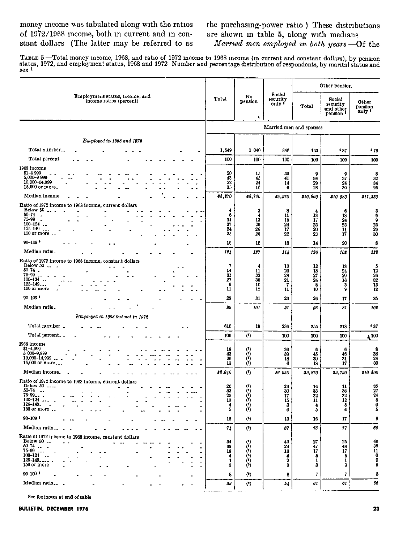money mcome was tabulated along with the ratios the purchasing-power ratio ) These distributions of 1972/1968 income, both in current and in con- are shown in table 5, along with medians of 1972/1968 mcome, both in current and in constant dollars (The latter may be referred to as *Married men employed in both years* --Of the

TABLE 5 — Total money income, 1968, and ratio of 1972 income to 1968 income (in current and constant dollars), by pensior<br>status, 1972, and employment status, 1968 and 1972 Number and percentage distribution of respondents

|                                                                                                                                                                |                                      |                                                                               |                                                    | Other pension                         |                                                         |                                                                |
|----------------------------------------------------------------------------------------------------------------------------------------------------------------|--------------------------------------|-------------------------------------------------------------------------------|----------------------------------------------------|---------------------------------------|---------------------------------------------------------|----------------------------------------------------------------|
| Employment status, income, and<br>income ratios (percent)                                                                                                      | Total                                | No<br>pension<br>٠                                                            | Social<br>security<br>only <sup>5</sup>            | Total                                 | Social<br>security<br>and other<br>pension <sup>1</sup> | Other<br>pension<br>only *                                     |
|                                                                                                                                                                |                                      |                                                                               |                                                    | Married men and spouses               |                                                         |                                                                |
| Employed in 1968 and 1972                                                                                                                                      |                                      |                                                                               |                                                    |                                       |                                                         |                                                                |
| Total number                                                                                                                                                   | 1,549                                | 1 040                                                                         | 346                                                | 163                                   | 437                                                     | 476                                                            |
| Total percent                                                                                                                                                  | 100                                  | 100                                                                           | 100                                                | 100                                   | 100                                                     | 100                                                            |
| 1968 income<br>$$1 - 4999$<br>5,000-9 999<br>10,000-14,999<br>15,000 or more.                                                                                  | 20<br>43<br>22<br>15                 | 15<br>45<br>24<br>16                                                          | 39<br>41<br>14<br>6                                | 9<br>34<br>29<br>28                   | 9<br>37<br>24<br>30                                     | 8<br>32<br>34<br>26                                            |
| Median income                                                                                                                                                  | 88,870                               | 38,760                                                                        | 85.970                                             | \$10,960                              | 810 530                                                 | \$11,350                                                       |
| Ratio of 1972 income to 1968 income, current dollars<br>Below 50<br>$50 - 74$<br>$\bullet$<br>75-99<br>$100 - 124$<br>$125 - 149$<br>150 or more<br>$90 - 109$ | 4<br>6<br>14<br>27<br>24<br>25<br>16 | 3<br>4<br>13<br>29<br>26<br>26<br>16                                          | 8<br>11<br>18<br>$\overline{24}$<br>17<br>22<br>18 | 4<br>13<br>17<br>23<br>20<br>23<br>14 | 6<br>18<br>$\frac{24}{23}$<br>11<br>17<br>20            | 36923930<br>8                                                  |
| Median ratio.                                                                                                                                                  | 1.44                                 | 187                                                                           | 114                                                | 120                                   | 102                                                     | 128                                                            |
| Ratio of 1972 income to 1968 income, constant dollars<br>Below 50<br>$50 - 74$ .<br>75-99<br>$100 - 124$<br>$125 - 149$<br>150 or more                         | 7<br>14<br>31<br>27<br>9<br>11       | 4<br>11<br>33<br>30<br>10<br>12                                               | 13<br>20<br>28<br>21<br>7<br>$\mathbf{11}$         | 12<br>18<br>27<br>24<br>8<br>10       | 18<br>24<br>29<br>16<br>3<br>9                          | $\begin{array}{c} 5 \\ 12 \\ 26 \\ 32 \end{array}$<br>13<br>12 |
| $90 - 109$                                                                                                                                                     | 29                                   | 31                                                                            | 23                                                 | 26                                    | 17                                                      | 35                                                             |
| Median ratio.                                                                                                                                                  | 99                                   | 101                                                                           | 91                                                 | 85                                    | 81                                                      | 102                                                            |
| Employed in 1968 but not in 1972                                                                                                                               |                                      |                                                                               |                                                    |                                       |                                                         |                                                                |
| Total number.                                                                                                                                                  | 610                                  | 19                                                                            | 236                                                | 355                                   | 318                                                     | $^{\tiny 4}$ 37                                                |
| Total percent                                                                                                                                                  | 100                                  | $\left($ <sup>e</sup> )                                                       | 100                                                | 100                                   | 100                                                     | 100 ۾                                                          |
| 1968 income<br>\$1-4,999<br>5 000-9,999<br>10.000-14,999<br>15,000 or more                                                                                     | 18<br>43<br>26<br>13                 | $\binom{6}{6}$<br>Ö                                                           | 36<br>39<br>18<br>6                                | 6<br>45<br>30<br>18                   | 6<br>46<br>31<br>17                                     | 8<br>33<br>24<br>30                                            |
| Median income.                                                                                                                                                 | 84, 640                              | $\left($ <sup>0</sup> )                                                       | 86 850                                             | \$9,870                               | \$9,790                                                 | 310 500                                                        |
| Ratio of 1972 income to 1968 income, current dollars<br>Below 50<br>50-74<br>$\ddotsc$<br>$75 - 99 - 2$<br>$100 - 124$<br>125-149.<br>150 or more              | 20<br>33<br>25<br>13<br>4<br>5       | (<br>$\langle 0 \rangle$<br>$\begin{smallmatrix} 0 \ 0 \ 0 \end{smallmatrix}$ | 29<br>30<br>17<br>15<br>3<br>6                     | 14<br>35<br>32<br>11<br>4<br>5        | 11<br>36<br>32<br>12<br>5<br>4                          | $3527$<br>$248$<br>$05$                                        |
| 90-109 F                                                                                                                                                       | 15                                   | (6)<br><u>\/</u>                                                              | 13                                                 | 16                                    | 17                                                      |                                                                |
| Median ratio                                                                                                                                                   | 74                                   | (                                                                             | 67                                                 | 76                                    | 77                                                      | 66                                                             |
| Ratio of 1972 income to 1968 income, constant dollars<br>Below 50<br>$50 - 74$<br>$76 - 99$<br>$100 - 124$ .<br>$125 - 149 - $<br>٠<br>150 or more             | 34<br>39<br>18<br>4<br>1<br>3        | (*)<br>(*)<br>(*)                                                             | 43<br>29<br>18<br>4<br>2<br>3                      | 27<br>$\frac{47}{17}$<br>5<br>1<br>3  | 25<br>48<br>17<br>5<br>1<br>3                           | $48$<br>$38$<br>$11$<br>$0$<br>$0$<br>$5$                      |
| $00 - 109$                                                                                                                                                     | 8                                    | $\left( \begin{matrix} 0 \\ 1 \end{matrix} \right)$                           | 8                                                  | 7.                                    | 7                                                       | 5                                                              |
| Median ratio                                                                                                                                                   | 59                                   | $(6)$                                                                         | 84                                                 | 61                                    | 61                                                      | 52                                                             |

See footnotes at end of table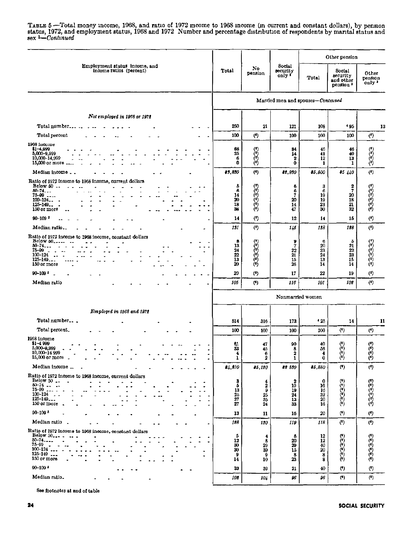# TABLE 5 -Total money income, 1968, and ratio of 1972 income to 1968 income (in current and constant dollars), by pension status, 1972, and employment status, 1968 and 1972 Number and percentage distribution of respondents

|                                                                                                                                                                    |                                       |                                             |                                                          | Other pension                   |                                                         |                                                                          |
|--------------------------------------------------------------------------------------------------------------------------------------------------------------------|---------------------------------------|---------------------------------------------|----------------------------------------------------------|---------------------------------|---------------------------------------------------------|--------------------------------------------------------------------------|
| Employment status income, and<br>income ratios (percent)                                                                                                           | Total                                 | No<br>pension                               | Social<br>security<br>only '                             | Total                           | Social<br>security<br>and other<br>pension <sup>3</sup> | Other<br>pension<br>only <sup>1</sup>                                    |
|                                                                                                                                                                    |                                       |                                             | Married men and spouses-Continued                        |                                 |                                                         |                                                                          |
| Not employed in 1968 or 1972                                                                                                                                       |                                       |                                             |                                                          |                                 |                                                         |                                                                          |
| Total number                                                                                                                                                       | 250                                   | 21                                          | 121                                                      | 108                             | 495                                                     | 13                                                                       |
| Total percent                                                                                                                                                      | 100                                   | (                                           | 100                                                      | 100                             | 100                                                     | $\left( \cdot \right)$                                                   |
| 1968 income<br>\$1-4,999<br>5,000-9,999<br>10,000-14,999<br>15,000 or more.                                                                                        | 68<br>25<br>6<br>0                    | $\begin{pmatrix} 0 \\ 0 \\ 0 \end{pmatrix}$ | 84<br>14<br>2<br>0                                       | 46<br>41<br>12<br>1             | 46<br>40<br>13<br>1                                     | (1)<br>ဖြ<br>$\left( \cdot \right)$                                      |
| Median income _ _                                                                                                                                                  | 85,850                                | (                                           | \$2,930                                                  | 35,500                          | 3540                                                    | (!)                                                                      |
| Ratio of 1972 income to 1968 income, current dollars<br>Below $50 -$<br>$50 - 74$<br>$75 - 99$<br>$100 - 124$<br>$125 - 149 -$<br>150 or more                      | Б<br>6<br>14<br>20<br>18<br>36        | $\left( 0\right)$<br>زه)<br>ده که           | 6<br>6<br>7<br>20<br>14<br>47                            | 3<br>6<br>19<br>19<br>23<br>30  | 2<br>7<br>20<br>18<br>21<br>32                          | (*)<br>(6)<br>(*)<br>0)<br>$^{(4)}$                                      |
| $90 - 109$ <sup>3</sup>                                                                                                                                            | 14                                    | (                                           | 12                                                       | 14                              | 15                                                      | (                                                                        |
| Median ratio                                                                                                                                                       | 131                                   | (6)                                         | 148                                                      | 128                             | 128                                                     | (5)                                                                      |
| Ratio of 1972 income to 1968 income, constant dollars<br>Below 50<br>$\sim$<br>$50 - 74$<br>75 99<br>$100 - 124$<br>$125 - 149$<br>150 or more                     | 8<br>13<br>24<br>22<br>13<br>20       | ်ငံ<br>Ò<br>$\mathfrak{e}$                  | 9<br>$\overline{7}$<br>22<br>$\overline{21}$<br>15<br>26 | 6<br>20<br>23<br>24<br>13<br>14 | 5<br>21<br>$22\,$<br>23<br>15<br>14                     | (٥)<br>(6)<br>0<br>ΰ,                                                    |
| $90 - 109$ $^3$<br>J.                                                                                                                                              | 20                                    | $(6)$                                       | 17                                                       | 22                              | 19                                                      | (                                                                        |
| Median ratio                                                                                                                                                       | 105                                   | (6)                                         | 116                                                      | 101                             | 102                                                     | (                                                                        |
|                                                                                                                                                                    |                                       |                                             | Nonmarried women                                         |                                 |                                                         |                                                                          |
| Employed in 1968 and 1972                                                                                                                                          |                                       |                                             |                                                          |                                 |                                                         |                                                                          |
| Total number                                                                                                                                                       | 514                                   | 316                                         | 173                                                      | 125                             | 14                                                      | 11                                                                       |
| Total percent.                                                                                                                                                     | 100                                   | 100                                         | 100                                                      | 100                             | (                                                       | $\left( \circ \right)$                                                   |
| 1968 income<br>\$1-4 999<br>5,000-9,999<br>10,000-14 999<br>15,000 or more                                                                                         | 61<br>33<br>4<br>1                    | 47<br>45<br>6<br>2                          | 90<br>8<br>2<br>1                                        | 40<br>56<br>4<br>0              | 0<br>ن<br>(۹)<br>$^{(6)}$                               | (<br>$\left( \bullet \right)$<br>问<br>$\ddot{\text{(i)}}$                |
| Median income                                                                                                                                                      | 84.810                                | 36,120                                      | ## 530                                                   | 45,880                          | (9)                                                     | (9)                                                                      |
| Ratio of 1972 income to 1968 income, current dollars<br>Below 50<br>$50 - 74$<br>75–99<br>$100 - 124$ .<br>$125 - 149$<br>150 or more                              | 3<br>ō<br>13<br>$\frac{25}{27}$<br>27 | 4<br>2<br>$\Omega$<br>25<br>85<br>24        | 2<br>10<br>19<br>24<br>13<br>33                          | 0<br>16<br>16<br>32<br>20<br>16 | (6)<br>Š<br>$\begin{pmatrix} 0 \\ 0 \\ 0 \end{pmatrix}$ | 78)<br>$(\cdot)$<br>/ 5 ነ<br>$\begin{pmatrix} 0 \\ 0 \\ 0 \end{pmatrix}$ |
| $90 - 109$ <sup>5</sup>                                                                                                                                            | 13                                    | 11                                          | 16                                                       | 20                              | (9)                                                     | (!)                                                                      |
| Median ratio.                                                                                                                                                      | 128                                   | 150                                         | 119                                                      | 118                             | (                                                       | $\circ$                                                                  |
| Ratio of 1972 income to 1968 income, constant dollars<br>Below $50_{n-1}$ $\ldots$ $\ldots$<br>$50 - 74$<br>$75 - 99$<br>$100 - 124$<br>$125 - 149$<br>150 or more | 5<br>12<br>30<br>30<br>9<br>14        | 4<br>8<br>29<br>39<br>9<br>10               | 5<br>20<br>29<br>15<br>8<br>23                           | 12<br>12<br>40<br>20<br>8<br>8  | فالوث<br>$6$                                            | (၁)<br>(၁)<br>(၁)<br>Ò                                                   |
| $00 - 109$ $*$                                                                                                                                                     | 33                                    | 39                                          | 21                                                       | 40                              | (9)                                                     | $($ <sup>0</sup> )                                                       |
| Median ratio.                                                                                                                                                      | 102                                   | 104                                         | 96                                                       | 96                              | (9)                                                     | $(4)$                                                                    |

See footnotes at end of table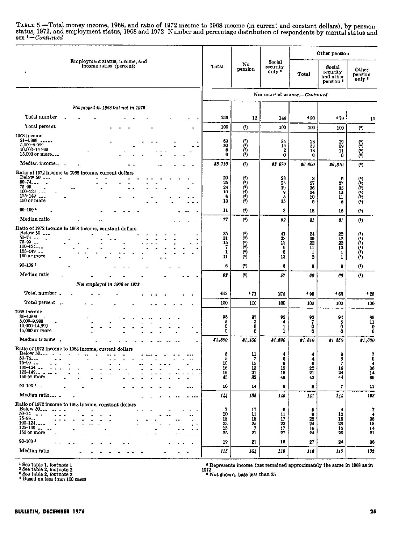TABLE 5 --Total money income, 1968, and ratio of 1972 income to 1968 income (in current and constant dollars), by pension status, 1972, and employment status, 1968 and 1972 Number and percentage distribution of respondents

|                                                                                                                                                                      |                                        |                                                                    |                                           | Other pension                                        |                                              |                                                                                      |
|----------------------------------------------------------------------------------------------------------------------------------------------------------------------|----------------------------------------|--------------------------------------------------------------------|-------------------------------------------|------------------------------------------------------|----------------------------------------------|--------------------------------------------------------------------------------------|
| Employment status, income, and<br>income ratios (percent)                                                                                                            | Total                                  | No.<br>pension                                                     | Social<br>security<br>only <sup>1</sup>   | Total                                                | Social<br>security<br>and other<br>pension • | Other<br>pension<br>only *                                                           |
|                                                                                                                                                                      |                                        |                                                                    | Nonmarried women-Continued                |                                                      |                                              |                                                                                      |
| Employed in 1968 but not in 1972                                                                                                                                     |                                        |                                                                    |                                           |                                                      |                                              |                                                                                      |
| Total number                                                                                                                                                         | 246                                    | 12                                                                 | 144                                       | 4 90                                                 | $+79$                                        | 11                                                                                   |
| Total percent                                                                                                                                                        | 100                                    | (9)                                                                | 100                                       | 100                                                  | 100                                          | (                                                                                    |
| 1968 income<br>$$1-4,999$<br>5,000-9,999<br>10,000-14 999<br>15,000 or more                                                                                          | 63<br>30<br>6<br>0                     | 333                                                                | 84<br>14<br>2<br>0                        | 28<br>59<br>13<br>0                                  | 29<br>59<br>11<br>0                          | $\begin{pmatrix} 0 \\ 0 \\ 0 \end{pmatrix}$<br>Ö                                     |
| Median income                                                                                                                                                        | 35,710                                 | $(5)$                                                              | \$2 970                                   | \$6 600                                              | 36,310                                       | $($ <sup>e</sup> )                                                                   |
| Ratio of 1972 income to 1968 income, current dollars<br>Below 50<br>$50 - 74$<br>75-99<br>100-124<br>$125 - 149$<br>150 or more                                      | 20<br>25<br>24<br>10<br>6<br>13        | $\binom{6}{2}$<br>$\begin{pmatrix} 0 \\ 0 \\ 0 \\ 0 \end{pmatrix}$ | 28<br>26<br>19<br>8<br>5<br>15            | 8<br>27<br>36<br>14<br>10<br>6                       | 6<br>27<br>35<br>15<br>11<br>Б               | (*)<br>$(6)$<br>(6)<br>(*)<br>(*)                                                    |
| $90 - 109$                                                                                                                                                           | 11                                     | (                                                                  | 8                                         | 18                                                   | 16                                           | (9)                                                                                  |
| Median ratio                                                                                                                                                         | 77                                     | (3)                                                                | 69                                        | 81                                                   | 81                                           | $^{\circ}$                                                                           |
| Ratio of 1972 income to 1968 income, constant dollars<br>Below $50$ $\ldots$<br>$50 - 74$<br>$75 - 99$<br>$100 - 124$<br>$125 - 149$<br>150 or more                  | 35<br>31<br>15<br>7<br>1<br>11         | $^{(5)}$<br>$\begin{pmatrix} 0 \\ 0 \\ 0 \\ 0 \end{pmatrix}$       | 41<br>28<br>$12\,$<br>6<br>$\bf{0}$<br>13 | 24<br>39<br>22<br>11<br>1<br>$\overline{\mathbf{2}}$ | $22\,$<br>42<br>22<br>13<br>1<br>1           | O<br>70)<br>Λń<br>Ò<br>Ò)<br>Ò                                                       |
| $90 - 109$ <sup>5</sup>                                                                                                                                              | 6                                      | (                                                                  | 6                                         | 8                                                    | 0                                            | $(6)$                                                                                |
| Median ratio                                                                                                                                                         | 62                                     | (                                                                  | 67                                        | 66                                                   | 86                                           | $(6)$                                                                                |
| Not employed in 1968 or 1972                                                                                                                                         |                                        |                                                                    |                                           |                                                      |                                              |                                                                                      |
| Total number.                                                                                                                                                        | 442                                    | $+71$                                                              | 275                                       | \$96                                                 | 468                                          | 428                                                                                  |
| Total percent                                                                                                                                                        | 100                                    | 100                                                                | 100                                       | 100                                                  | 100                                          | 100                                                                                  |
| 1968 income<br>$$1 - 4,999$<br>5,000-9,999<br>10,000-14.999<br>15,000 or more                                                                                        | 95<br>ő<br>0<br>0                      | 97<br>з<br>0<br>0                                                  | 95<br>4<br>1<br>1                         | 93<br>7<br>0<br>0                                    | 94<br>6<br>0<br>0                            | $\begin{array}{c} 89 \\ 11 \end{array}$<br>$\begin{smallmatrix}0\0\end{smallmatrix}$ |
| Median income.                                                                                                                                                       | \$1,560                                | 41,100                                                             | 81.320                                    | 81,810                                               | 81 850                                       | 81,630                                                                               |
| Ratio of 1972 income to 1968 income, current dollars<br>Below 50<br>$30 - 74$<br>$75 - 99$<br>$100 - 124$<br>$125 - 149 -$<br>150 or more                            | 5<br>Б<br>10<br>16<br>19<br>45         | 11<br>7<br>15<br>13<br>21<br>32                                    | 4<br>5<br>9<br>15<br>18<br>49             | 4<br>4<br>6<br>22<br>21<br>43                        | 3<br>6<br>7<br>16<br>24<br>44                | 70<br>$\frac{4}{36}$<br>14<br>39                                                     |
| $00-109$ $^5$                                                                                                                                                        | 10                                     | 14                                                                 | 9                                         | 8                                                    | 7                                            | 11                                                                                   |
| Median ratio<br>$- - -$                                                                                                                                              | 144                                    | 132                                                                | 149                                       | 141                                                  | 144                                          | 128                                                                                  |
| Ratio of 1972 income to 1968 income, constant dollars<br>Below 50<br>$  -$<br>$\bullet$<br>$50 - 74$<br>٠.<br>$75 - 99 -$<br>100-124<br>$125 - 149$ .<br>150 or more | 7<br>10<br>18<br>$\frac{23}{15}$<br>25 | 17<br>11<br>18<br>25<br>7<br>21                                    | 6<br>11<br>17<br>23<br>17<br>27           | 5<br>9<br>22<br>24<br>16<br>24                       | 12<br>16<br>26<br>16<br>25                   | 7<br>$\frac{4}{36}$<br>$\frac{18}{14}$<br>$\frac{14}{21}$                            |
| $90 - 109$ <sup>5</sup>                                                                                                                                              | 19                                     | 21                                                                 | 15                                        | 27                                                   | 24                                           | 36                                                                                   |
| Median ratio                                                                                                                                                         | 115                                    | 104                                                                | 119                                       | 118                                                  | 116                                          | 103                                                                                  |

 $\begin{array}{l} \texttt{4 See table 1, footnote 1} \\ \texttt{4 See table 2, footnote 2} \\ \texttt{4 See table 2, footnote 3} \\ \texttt{4 Based on less than 100 cases} \end{array}$ 

Represents income that remained approximately the same in 1968 as in<br>1972 <br>Not shown, base less than 25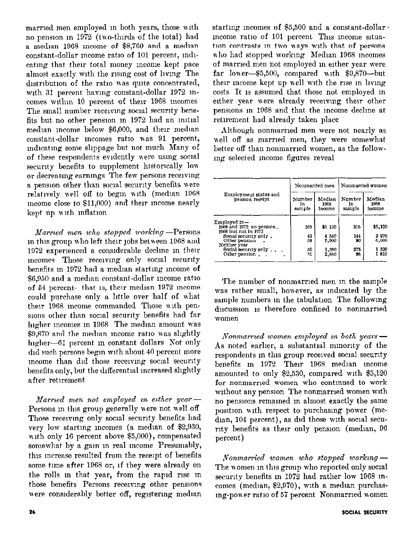married men employed in both years, those with no pension in 1972 (two-thirds of the total) had a median 1968 income of \$8,760 and a median constant-dollar meome ratio of 101 percent, indicating that their total money income kept pace almost exactly with the rising cost of living The distribution of the ratio was quite concentrated, with 31 percent having constant-dollar 1972 incomes within 10 percent of their 1968 incomes The small number receiving social security benefits but no other pension in 1972 had an initial median income below \$6,000, and their median constant-dollar incomes ratio was 91 percent, indicating some slippage but not much Many of of these respondents evidently were using social security benefits to supplement historically low or decreasing earnings The few persons receiving a pension other than social security benefits were relatively well off to begin with (median 1968 mcome close to \$11,000) and their income nearly kept up with inflation

Married men who stopped working -Persons in this group who left their jobs between 1968 and 1972 experienced a considerable decline in their meomes Those receiving only social security benefits in 1972 had a median starting income of \$6.950 and a median constant-dollar income ratio of 54 percent-that is, their median 1972 income could purchase only a little over half of what their 1968 income commanded Those with pensions other than social security benefits had far higher incomes in 1968 The median amount was \$9,870 and the median income ratio was slightly higher-61 percent in constant dollars Not only did such persons begin with about 40 percent more income than did those receiving social security benefits only, but the differential increased slightly after retirement

Married men not employed in either year-Persons in this group generally were not well off Those receiving only social security benefits had very low starting incomes (a median of \$2,930, with only 16 percent above \$5,000), compensated somewhat by a gain in real income Presumably, this increase resulted from the receipt of benefits some time after 1968 or, if they were already on the rolls in that year, from the rapid rise in those benefits Persons receiving other pensions were considerably better off, registering median

starting incomes of \$5,500 and a constant-dollar. income ratio of 101 percent This income situation contrasts in two ways with that of persons who had stopped working Median 1968 incomes of married men not employed in either year were far lower-\$5,500, compared with \$9,870-but their income kept up well with the rise in living costs It is assumed that those not employed in either year were already receiving their other pensions in 1968 and that the income decline at retirement had already taken place

Although nonmarried men were not nearly as well off as married men, they were somewhat better off than nonmarried women, as the following selected income figures reveal

|                                                                   |                        | Nonmarried men           | Nonmarried women       |                          |  |  |
|-------------------------------------------------------------------|------------------------|--------------------------|------------------------|--------------------------|--|--|
| Employment status and<br>pension receipt                          | Number<br>in<br>sample | Median<br>1968<br>Income | Number<br>1n<br>sample | Median<br>1968<br>income |  |  |
| Employed in—<br>1968 and 1972 no pension.<br>1968 but not in 1972 | 169                    | \$6 130                  | 316                    | \$5.120                  |  |  |
| Social security only.<br>Other pension<br>Neither year            | 43<br>58               | 4 5 4 0<br>7.900         | 144<br>90              | 2970<br>6.600            |  |  |
| Social security only $\sim$ $\blacksquare$<br>Other pension.      | 50<br>31               | 1,380<br>2.880           | 275<br>96              | 1320<br>1810             |  |  |

The number of nonmarried men in the sample was rather small, however, as indicated by the sample numbers in the tabulation The following discussion is therefore confined to nonmarried women

Nonmarried women employed in both years -As noted earlier, a substantial minority of the respondents in this group received social security benefits in 1972 Their 1968 median income amounted to only \$2,530, compared with \$5,120 for nonmarried women who continued to work without any pension The nonmarried women with no pensions remained in almost exactly the same position with respect to purchasing power (median, 104 percent), as did those with social security benefits as their only pension (median, 96 percent)

Nonmarried women who stopped working-The women in this group who reported only social security benefits in 1972 had rather low 1968 incomes (median, \$2,970), with a median purchasing-power ratio of 57 percent Nonmarried women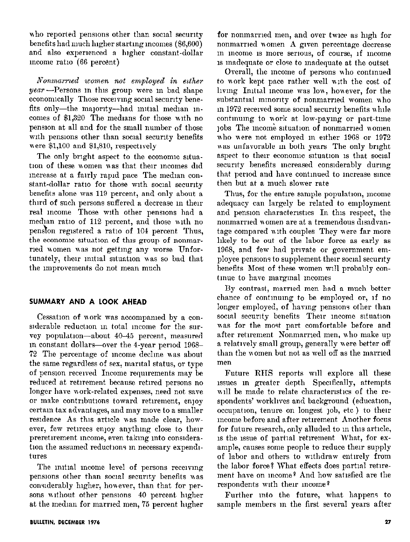who reported pensions other than social security benefits had much higher starting incomes (\$6,600) and also experienced a higher constant-dollar income ratio (66 percent)

Nonmarried women not employed in either  $year$  --Persons in this group were in bad shape economically Those receiving social security benefits only-the majority-had initial median incomes of \$1,320 The medians for those with no pension at all and for the small number of those with pensions other than social security benefits were \$1,100 and \$1,810, respectively

The only bright aspect to the economic situation of these women was that their incomes did increase at a fairly rapid pace The median constant-dollar ratio for those with social security benefits alone was 119 percent, and only about a third of such persons suffered a decrease in their real income Those with other pensions had a median ratio of 112 percent, and those with no pension registered a ratio of 104 percent Thus, the economic situation of this group of nonmarried women was not getting any worse Unfortunately, their initial situation was so bad that the improvements do not mean much

# SUMMARY AND A LOOK AHEAD

Cessation of work was accompanied by a considerable reduction in total income for the survey population-about 40-45 percent, measured in constant dollars—over the 4-year period 1968– 72 The percentage of income decline was about the same regardless of sex, marital status, or type of pension received Income requirements may be reduced at retirement because retired persons no longer have work-related expenses, need not save or make contributions toward retirement, enjoy certain tax advantages, and may move to a smaller residence As this article was made clear, however, few retirees enjoy anything close to their preretirement income, even taking into consideration the assumed reductions in necessary expenditures

The initial income level of persons receiving pensions other than social security benefits was considerably higher, however, than that for persons without other pensions 40 percent higher at the median for married men, 75 percent higher

for nonmarried men, and over twice as high for nonmarried women A given percentage decrease in income is more serious, of course, if income is inadequate or close to inadequate at the outset

Overall, the income of persons who continued to work kept pace rather well with the cost of living Initial income was low, however, for the substantial minority of nonmarried women who in 1972 received some social security benefits while continuing to work at low-paying or part-time jobs The income situation of nonmarried women who were not employed in either 1968 or 1972 was unfavorable in both years The only bright aspect to their economic situation is that social security benefits increased considerably during that period and have continued to increase since then but at a much slower rate

Thus, for the entire sample population, income adequacy can largely be related to employment and pension characteristics In this respect, the nonmarried women are at a tremendous disadvantage compared with couples They were far more likely to be out of the labor force as early as 1968, and few had private or government employee pensions to supplement their social security benefits Most of these women will probably continue to have marginal incomes

By contrast, married men had a much better chance of continuing to be employed or, if no longer employed, of having pensions other than social security benefits Their income situation was for the most part comfortable before and after retirement Nonmarried men, who make up a relatively small group, generally were better off than the women but not as well off as the married men

Future RHS reports will explore all these issues in greater depth Specifically, attempts will be made to relate characteristics of the respondents' worklives and background (education, occupation, tenure on longest job, etc) to their income before and after retirement Another focus for future research, only alluded to in this article, is the issue of partial retirement What, for example, causes some people to reduce their supply of labor and others to withdraw entirely from the labor force? What effects does partial retirement have on income? And how satisfied are the respondents with their income?

Further into the future, what happens to sample members in the first several years after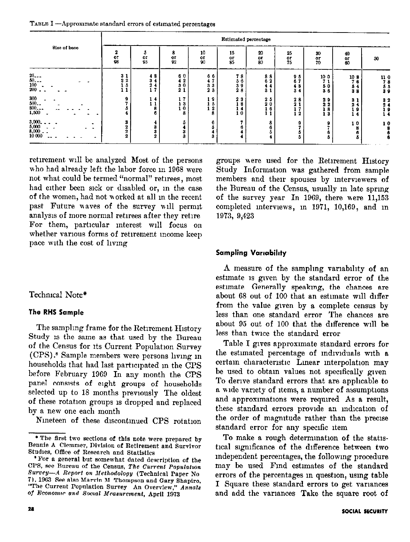TABLE  $I -$ Approximate standard errors of estimated percentages

| Size of base                                                                                                                                                     |  | Estimated percentage                    |                                            |                                             |                                                                    |                                             |                                                          |                                                         |                                                                    |                                                                 |                                                                              |  |
|------------------------------------------------------------------------------------------------------------------------------------------------------------------|--|-----------------------------------------|--------------------------------------------|---------------------------------------------|--------------------------------------------------------------------|---------------------------------------------|----------------------------------------------------------|---------------------------------------------------------|--------------------------------------------------------------------|-----------------------------------------------------------------|------------------------------------------------------------------------------|--|
|                                                                                                                                                                  |  | $\frac{0}{98}$                          | 5<br>$\frac{0}{95}$                        | 8<br>$_{92}^{\rm or}$                       | 10<br>$_{90}^{\rm or}$                                             | 15<br>or<br>85                              | 20<br>$\frac{or}{80}$                                    | 25<br>$^{\rm or}_{75}$                                  | 30<br>$\frac{01}{70}$                                              | 40<br>$\frac{0}{60}$                                            | 50                                                                           |  |
| $\frac{25}{50}$<br>$\frac{50}{100}$<br>$\frac{200}{50}$<br>$\begin{array}{l} 300 \ 500 \ -800 \end{array}$<br>1,500<br>$3,000$<br>$5,000$<br>$8,000$<br>$10,000$ |  | 3 <sub>1</sub><br>$2^2$<br>-5<br>з<br>2 | 48<br>3 <sub>4</sub><br>2<br>17<br>14<br>6 | 60<br>42<br>30<br>21<br>17<br>- 3<br>0<br>8 | 66<br>41<br>3 <sub>3</sub><br>23<br>-9<br>5<br>$\overline{2}$<br>8 | 78<br>56<br>39<br>28<br>23<br>-8<br>4<br>10 | 88<br>62<br>ч.<br>3 <sub>1</sub><br>25<br>20<br>16<br>11 | 95<br>67<br>48<br>3 <sub>4</sub><br>28<br>21<br>-2<br>٠ | 10 0<br>50<br>36<br>29<br>2 <sub>2</sub><br>i 8<br>13<br>$\bullet$ | 10 <sub>8</sub><br>76<br>54<br>38<br>31<br>24<br>19<br>14<br>10 | 11 0<br>78<br>55<br>39<br>3 <sub>2</sub><br>2 <sub>4</sub><br>19<br>14<br>10 |  |
|                                                                                                                                                                  |  | 2                                       |                                            | а                                           |                                                                    |                                             |                                                          |                                                         |                                                                    |                                                                 | 6                                                                            |  |

retirement will be analyzed Most of the persons who had already left the labor force in 1968 were not what could be termed "normal" retirees, most had ather been sick or disabled or, m the case of the women, had not norked at all m the recent past Future waves of the survey will permit analysis of more normal retirees after they retire For them, particular interest will focus on whether various forms of retirement income keep pace with the cost of living

# Techmcal Note\*

#### The RHS Sample

The sampling frame for the Retirement History Study 1s the same as that used by the Bureau of the Census for Its Current Population Survey (CPS) .8 Sample members were persons lwng m households that had last participated in the CPS before February 1969 In any month the CPS panel consists of eight groups of households selected up to 18 months previously The oldest of these rotation groups is dropped and replaced by a new one each month

Nineteen of these discontinued CPS rotation

groups were used for the Retirement History Study Information was gathered from sample members and their spouses by interviewers of the Bureau of the Census, usually m late sprmg of the survey year In 1969, there were 11,153 completed mtervrews, m 1971, 10,169, and in 1973, 9,423

# **Sampling Variability**

A measure of the samplmg vanablhty of an estimate is given by the standard error of the estrnate Generally speakmg, the chances are about 68 out of 100 that an estimate will differ from the value given by a complete census by less than one standard error The chances are about  $95$  out of  $100$  that the difference will be less than twice the standard error

Table I gives approximate standard errors for the estimated percentage of individuals with a certam characteristic Linear interpolation may be used to obtain values not specifically given To derive standard errors that are apphcable to a wide variety of items, a number of assumptions and approximations were required As a result, these standard errors provide an indication of the order of magnitude rather than the precise standard error for any specific Item

To make a rough determination of the statistical significance of the difference between two Independent percentages, the followmg procedure may be used Find estimates of the standard errors of the percentages in question, using table I Square these standard errors to get variances and add the variances Take the square root of

<sup>\*</sup> The first two sections of this note were prepared by Rennie A Clemmer, Division of Retirement and Survivor Studies, Office of Research and Statistics

<sup>&</sup>quot; For a general but somewhat dated description of the CPS, see Bureau of the Census, The Current Population Survey-A Report on Methodology (Technical Paper No 7), 1903 See also Marvin M Thompson and Gary Shapiro, "The Current Population Survey An Overview," Annals of Economic and Social Measurement, April 1973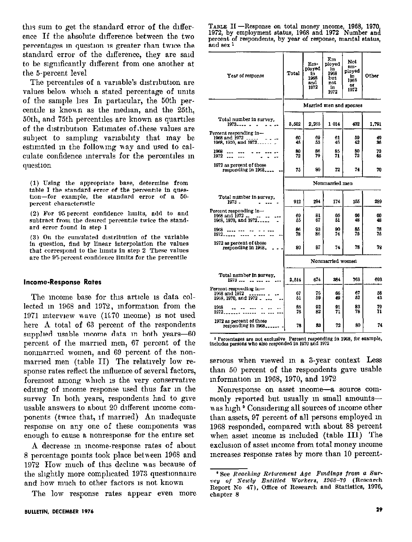this sum to get the standard error of the difference If the absolute difference between the two percentages in question is greater than twice the standard error of the difference, they are said to be significantly different from one another at the 5-percent level

The percentiles of a variable's distribution are values below which a stated percentage of units of the sample lies In particular, the 50th percentile is known as the median, and the 25th, 50th, and 75th percentiles are known as quartiles of the distribution Estimates of these values are subject to sampling variability that may be estimated in the following way and used to calculate confidence intervals for the percentiles in question

(1) Using the appropriate base, determine from table I the standard error of the percentile in question-for example, the standard error of a 50percent characteristic

(2) For 95 percent confidence limits, add to and subtract from the desired percentile twice the standard error found in step 1

(3) On the cumulated distribution of the variable in question, find by linear interpolation the values that correspond to the limits in step 2 These values are the 95-percent confidence limits for the percentile

#### **Income-Response Rates**

The income base for this article is data collected in 1968 and 1972, information from the 1971 interview wave (1970 income) is not used here A total of 63 percent of the respondents supplied usable income data in both years-60 percent of the married men, 67 percent of the nonmarried women, and 69 percent of the nonmarried men (table II) The relatively low response rates reflect the influence of several factors, foremost among which is the very conservative editing of income response used thus far in the survey In both years, respondents had to give usable answers to about 20 different income components (twice that, if married) An inadequate response on any one of these components was enough to cause a nonresponse for the entire set

A decrease in income-response rates of about 8 percentage points took place between 1968 and 1972 How much of this decline was because of the slightly more complicated 1973 questionnaire and how much to other factors is not known

The low response rates appear even more

|           | TABLE II — Response on total money income, 1968, 1970.       |  |  |  |
|-----------|--------------------------------------------------------------|--|--|--|
|           | 1972, by employment status, 1968 and 1972 Number and         |  |  |  |
|           | percent of respondents, by year of response, marital status, |  |  |  |
| and sex 1 |                                                              |  |  |  |

| Year of response                                                                | Total            | Em-<br>ployed<br>1n<br>1968<br>and<br>1972 | $\mathbf{E}\mathbf{m}$<br>ployed<br>in<br>1968<br>but<br>not<br>1n<br>1972 | Not<br>em-<br>ployed<br>íп<br>1968<br>or<br>1972 | Other    |  |
|---------------------------------------------------------------------------------|------------------|--------------------------------------------|----------------------------------------------------------------------------|--------------------------------------------------|----------|--|
|                                                                                 |                  |                                            |                                                                            | Married men and spouses                          |          |  |
| Total number in survey.<br>$1973 - - -$                                         | 5.502            | 2.265                                      | 1 014                                                                      | 432                                              | 1,791    |  |
| Percent responding in-<br>1968 and $1972$ $---$<br>1968, 1970, and 1972         | 60<br>45         | 69<br>53                                   | 61<br>46                                                                   | 69<br>42                                         | 49<br>36 |  |
| 1968<br>1972                                                                    | 80<br>72         | 86<br>79                                   | 85<br>71                                                                   | 80<br>72                                         | 70<br>65 |  |
| 1972 as percent of those<br>responding in 1968                                  | 75               | 80                                         | 72                                                                         | 74                                               | 70       |  |
|                                                                                 | Nonmarried men   |                                            |                                                                            |                                                  |          |  |
| Total number in survey.<br>1973.                                                | 912              | 294                                        | 174                                                                        | 155                                              | 289      |  |
| Percent responding $in-$<br>1968 and 1972 <sub>--</sub><br>1968, 1970, and 1972 | 69<br>55         | 81<br>67                                   | 66<br>51                                                                   | 66<br>48                                         | 60<br>48 |  |
| 1968<br>1972                                                                    | 86<br>78         | 93<br>86                                   | 90<br>74                                                                   | 85<br>75                                         | 78<br>75 |  |
| 1972 as percent of those<br>responding in 1968.                                 | 80               | 87                                         | 74                                                                         | 78                                               | 78       |  |
|                                                                                 | Nonmarried women |                                            |                                                                            |                                                  |          |  |
| Total number in survey.<br>1973                                                 | 2,514            | 674                                        | 224                                                                        | 763                                              | 693      |  |
| Percent responding in—<br>1968 and 1972<br>1968, 1970, and 1972                 | 67<br>61         | 76<br>59                                   | fĥ<br>49                                                                   | 67<br>52                                         | 58<br>43 |  |
| 1968<br>1972                                                                    | 86<br>76         | 92<br>82                                   | 91<br>71                                                                   | 83<br>78                                         | 79<br>71 |  |
| 1972 as percent of those<br>responding in 1968                                  | 78               | 83                                         | 72                                                                         | 80                                               | 74       |  |

 $\,$  1 Percentages are not exclusive Percent responding in 1968, for example, includes persons who also responded in 1970 and 1972

serious when viewed in a 3-year context Less than 50 percent of the respondents gave usable information in 1968, 1970, and 1972

Nonresponse on asset income-a source commonly reported but usually in small amountswas high <sup>9</sup> Considering all sources of income other than assets, 97 percent of all persons employed in 1968 responded, compared with about 88 percent when asset income is included (table III) The exclusion of asset income from total money income increases response rates by more than 10 percent-

<sup>&</sup>lt;sup>8</sup> See Reaching Returement Age Fundings from a Survey of Newly Entitled Workers, 1968-70 (Research Report No 47), Office of Research and Statistics, 1976, chapter 8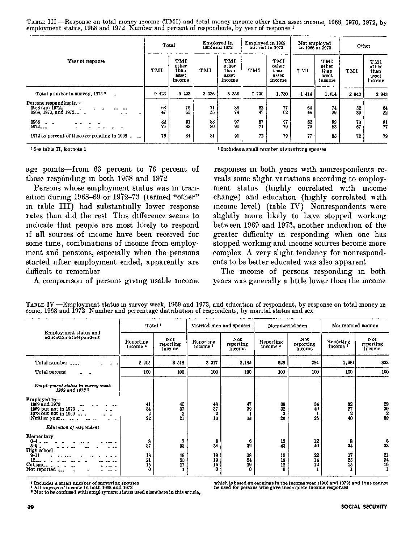TABLE III-Response on total money income (TMI) and total money income other than asset income, 1968, 1970, 1972, by employment status, 1908 and 1972 Number and percent of respondents, by year of response 1

|                                                                  | Total           |                                         | Employed in<br>1968 and 1972 |                                         | Employed in 1968<br>but not in 1972 |                                         | Not employed<br>in 1968 or 1972 |                                         | Other    |                                         |
|------------------------------------------------------------------|-----------------|-----------------------------------------|------------------------------|-----------------------------------------|-------------------------------------|-----------------------------------------|---------------------------------|-----------------------------------------|----------|-----------------------------------------|
| Year of response                                                 | TMI             | TMI<br>other<br>than<br>asset<br>income | TMI                          | TMI<br>other<br>than<br>asset<br>income | TMI                                 | TMI<br>other<br>than<br>asset<br>income | TMI                             | TMI<br>other<br>than<br>asset<br>income | TMI      | TMI<br>other<br>than<br>asset<br>income |
| Total number in survey, 1973 <sup>3</sup>                        | 9 4 2 3         | 9423                                    | 3 3 3 6                      | 3 3 3 6                                 | 1730                                | 1,730                                   | 1 414                           | 1.414                                   | 2 9 4 3  | 2 9 4 3                                 |
| Percent responding in-<br>1968 and 1972.<br>1968, 1970, and 1972 | 63<br>47        | 76<br>63                                | 71<br>55                     | 88<br>74                                | 62<br>47                            | 77<br>62                                | 64<br>48                        | 74<br>59                                | 52<br>39 | $\frac{64}{52}$                         |
| 1968<br>1972                                                     | $\frac{82}{74}$ | $\frac{91}{83}$                         | $\substack{88\\80}$          | $\frac{97}{91}$                         | $\frac{87}{71}$                     | 97<br>79                                | $\frac{82}{75}$                 | 89<br>83                                | 73<br>67 | $\frac{81}{77}$                         |
| 1972 as percent of those responding in 1968.                     | 76              | 84                                      | 81                           | 91                                      | 72                                  | 79                                      | 77                              | 83                                      | 72       | 79                                      |

<sup>t</sup> See table II. footnote 1

<sup>2</sup> Includes a small number of surviving spouses

age points—from 63 percent to 76 percent of those responding in both 1968 and 1972

Persons uhose employment status was m transition during  $1968-69$  or  $1972-73$  (termed "other" m table III) had substantially lower response rates than did the rest This difference seems to mdlcate that people are most likely to respond If all sources of mcome have been recewed for some time, combinations of income from employment and pensions, especially when the pensions started after employment ended, apparently are difficult to remember

A comparison of persons giving usable income

responses in both years wth nonrespondents reveals some slight variations according to employment status (highly correlated with mcome change) and education (highly correlated with mcome level) (table IV) Nonrespondents were shghtly more hkely to have stopped workmg between 1969 and 1973, another indication of the greater difficulty in responding when one has stopped working and income sources become more complex A very shght tendency for nonrespondents to be better educated was also apparent

The mcome of persons responding in both years nas generally a httle lower than the mcome

|                                                                                                | Total <sup>1</sup>                                 |                                    |                                  | Married men and spouses    |                                  | Nonmarried men              | Nonmarried women                 |                            |
|------------------------------------------------------------------------------------------------|----------------------------------------------------|------------------------------------|----------------------------------|----------------------------|----------------------------------|-----------------------------|----------------------------------|----------------------------|
| Employment status and<br>education of respondent                                               | Reporting<br>income <sup>3</sup>                   | Not<br>reporting<br>income         | Reporting<br>income <sup>1</sup> | Not<br>reporting<br>income | Reporting<br>income <sup>3</sup> | Not.<br>reporting<br>income | Reporting<br>income '            | Not<br>reporting<br>income |
| Total number                                                                                   | 5 905                                              | 3 518                              | 3 317                            | 2.185                      | 628                              | 284                         | 1,681                            | 833                        |
| Total percent                                                                                  | 100                                                | 100                                | 100                              | 100                        | 100                              | 100                         | 100                              | 100                        |
| Employment status in survey week<br>1969 and 1973 $*$                                          |                                                    |                                    |                                  |                            |                                  |                             |                                  |                            |
| $Employd in-$<br>1969 and 1973<br>1969 but not in 1973<br>1973 but not in 1969<br>Neither year | 41<br>34<br>$\boldsymbol{2}$<br>22                 | 40<br>37<br>$\boldsymbol{2}$<br>21 | 48<br>37<br>$\mathbf{2}$<br>13   | 47<br>39<br>1<br>13        | 39<br>32<br>3<br>26              | 34<br>40<br>1<br>25         | 32<br>27<br>$\overline{2}$<br>40 | $\frac{29}{30}$<br>39      |
| Education of respondent                                                                        |                                                    |                                    |                                  |                            |                                  |                             |                                  |                            |
| Elementary<br>$0 - 4 -$<br>$b-8$ .<br>High school                                              | 8<br>37                                            | 7<br>33                            | 8<br>38                          | 6<br>32                    | 12<br>43                         | 12<br>40                    | 8<br>34                          | 33                         |
| $9 - 11$<br>12<br>College<br>Not reported                                                      | $\begin{array}{c} 18 \\ 21 \end{array}$<br>15<br>0 | 19<br>23<br>17                     | 19<br>19<br>15<br>0              | 18<br>24<br>19<br>0        | 15<br>19<br>12<br>0              | $22\,$<br>14<br>12          | 17<br>25<br>15                   | $\frac{21}{24}$            |

TABLE IV -Employment status in survey week, 1969 and 1973, and education of respondent, by response on total money in come, 1968 and 1972 Number and percentage distribution of respondents, by marital status and sex

<sup>1</sup> Includes a small number of surviving spouses<br><sup>1</sup> All sources of income in both 1968 and 1972<br><sup>1</sup> Not to be confused with employment status used elsewhere in this article,

which is based on earnings in the income year  $(1968 \text{ and } 1972)$  and thus cannot be used for persons who gave incomplete income responses